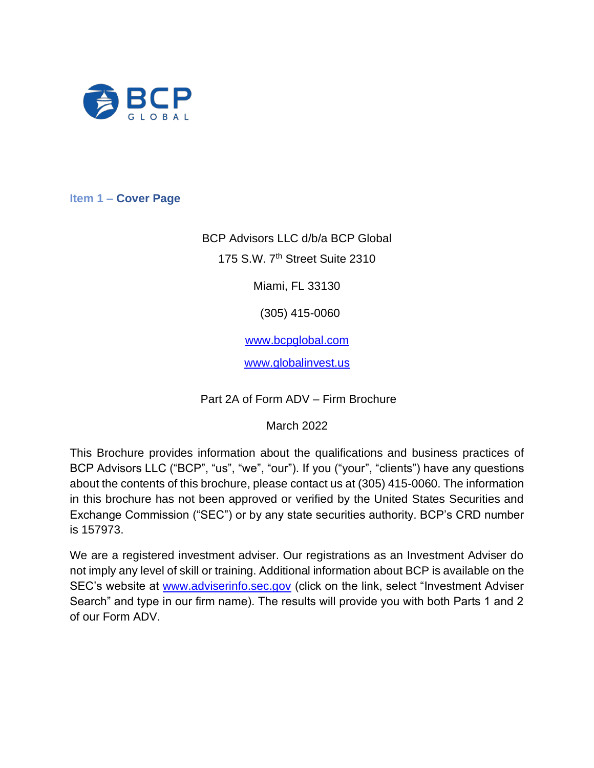

<span id="page-0-0"></span>**Item 1 – Cover Page**

BCP Advisors LLC d/b/a BCP Global 175 S.W. 7th Street Suite 2310

Miami, FL 33130

(305) 415-0060

[www.bcpglobal.com](http://www.bcpglobal.com/)

[www.globalinvest.us](http://www.globalinvest.us/)

Part 2A of Form ADV – Firm Brochure

March 2022

This Brochure provides information about the qualifications and business practices of BCP Advisors LLC ("BCP", "us", "we", "our"). If you ("your", "clients") have any questions about the contents of this brochure, please contact us at (305) 415-0060. The information in this brochure has not been approved or verified by the United States Securities and Exchange Commission ("SEC") or by any state securities authority. BCP's CRD number is 157973.

We are a registered investment adviser. Our registrations as an Investment Adviser do not imply any level of skill or training. Additional information about BCP is available on the SEC's website at [www.adviserinfo.sec.gov](http://www.adviserinfo.sec.gov/) (click on the link, select "Investment Adviser Search" and type in our firm name). The results will provide you with both Parts 1 and 2 of our Form ADV.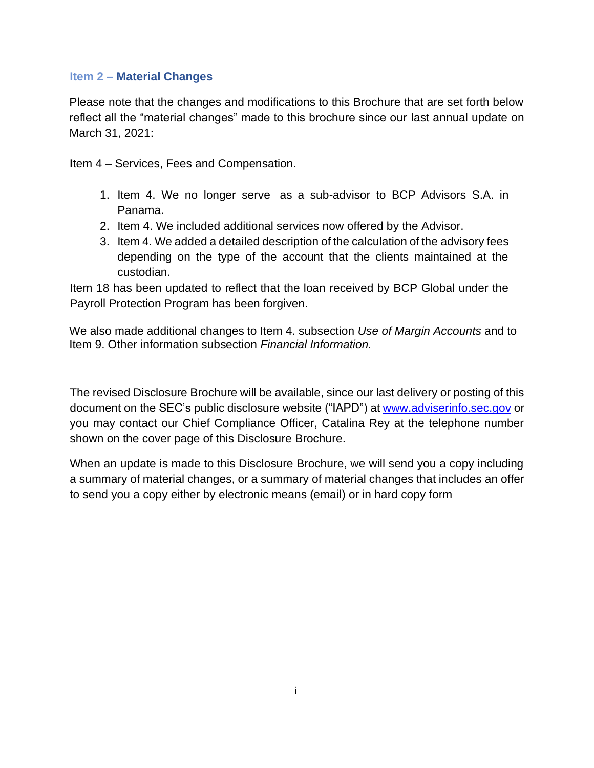#### <span id="page-1-0"></span>**Item 2 – Material Changes**

Please note that the changes and modifications to this Brochure that are set forth below reflect all the "material changes" made to this brochure since our last annual update on March 31, 2021:

**I**tem 4 – Services, Fees and Compensation.

- 1. Item 4. We no longer serve as a sub-advisor to BCP Advisors S.A. in Panama.
- 2. Item 4. We included additional services now offered by the Advisor.
- 3. Item 4. We added a detailed description of the calculation of the advisory fees depending on the type of the account that the clients maintained at the custodian.

Item 18 has been updated to reflect that the loan received by BCP Global under the Payroll Protection Program has been forgiven.

We also made additional changes to Item 4. subsection *Use of Margin Accounts* and to Item 9. Other information subsection *Financial Information.* 

The revised Disclosure Brochure will be available, since our last delivery or posting of this document on the SEC's public disclosure website ("IAPD") at [www.adviserinfo.sec.gov](http://www.adviserinfo.sec.gov/) or you may contact our Chief Compliance Officer, Catalina Rey at the telephone number shown on the cover page of this Disclosure Brochure.

When an update is made to this Disclosure Brochure, we will send you a copy including a summary of material changes, or a summary of material changes that includes an offer to send you a copy either by electronic means (email) or in hard copy form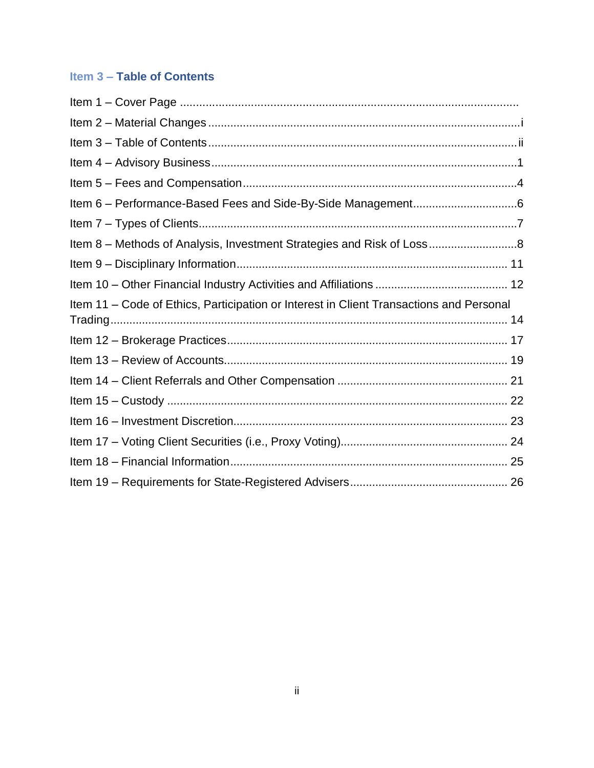## <span id="page-2-0"></span>**Item 3 – Table of Contents**

| Item 8 - Methods of Analysis, Investment Strategies and Risk of Loss                    |  |
|-----------------------------------------------------------------------------------------|--|
|                                                                                         |  |
|                                                                                         |  |
| Item 11 – Code of Ethics, Participation or Interest in Client Transactions and Personal |  |
|                                                                                         |  |
|                                                                                         |  |
|                                                                                         |  |
|                                                                                         |  |
|                                                                                         |  |
|                                                                                         |  |
|                                                                                         |  |
|                                                                                         |  |
|                                                                                         |  |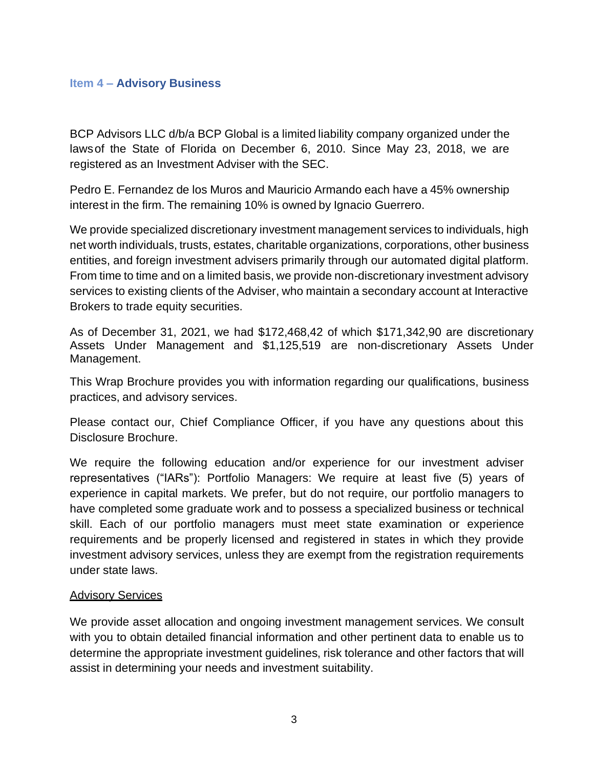#### <span id="page-3-0"></span>**Item 4 – Advisory Business**

BCP Advisors LLC d/b/a BCP Global is a limited liability company organized under the lawsof the State of Florida on December 6, 2010. Since May 23, 2018, we are registered as an Investment Adviser with the SEC.

Pedro E. Fernandez de los Muros and Mauricio Armando each have a 45% ownership interest in the firm. The remaining 10% is owned by Ignacio Guerrero.

We provide specialized discretionary investment management services to individuals, high net worth individuals, trusts, estates, charitable organizations, corporations, other business entities, and foreign investment advisers primarily through our automated digital platform. From time to time and on a limited basis, we provide non-discretionary investment advisory services to existing clients of the Adviser, who maintain a secondary account at Interactive Brokers to trade equity securities.

As of December 31, 2021, we had \$172,468,42 of which \$171,342,90 are discretionary Assets Under Management and \$1,125,519 are non-discretionary Assets Under Management.

This Wrap Brochure provides you with information regarding our qualifications, business practices, and advisory services.

Please contact our, Chief Compliance Officer, if you have any questions about this Disclosure Brochure.

We require the following education and/or experience for our investment adviser representatives ("IARs"): Portfolio Managers: We require at least five (5) years of experience in capital markets. We prefer, but do not require, our portfolio managers to have completed some graduate work and to possess a specialized business or technical skill. Each of our portfolio managers must meet state examination or experience requirements and be properly licensed and registered in states in which they provide investment advisory services, unless they are exempt from the registration requirements under state laws.

#### Advisory Services

We provide asset allocation and ongoing investment management services. We consult with you to obtain detailed financial information and other pertinent data to enable us to determine the appropriate investment guidelines, risk tolerance and other factors that will assist in determining your needs and investment suitability.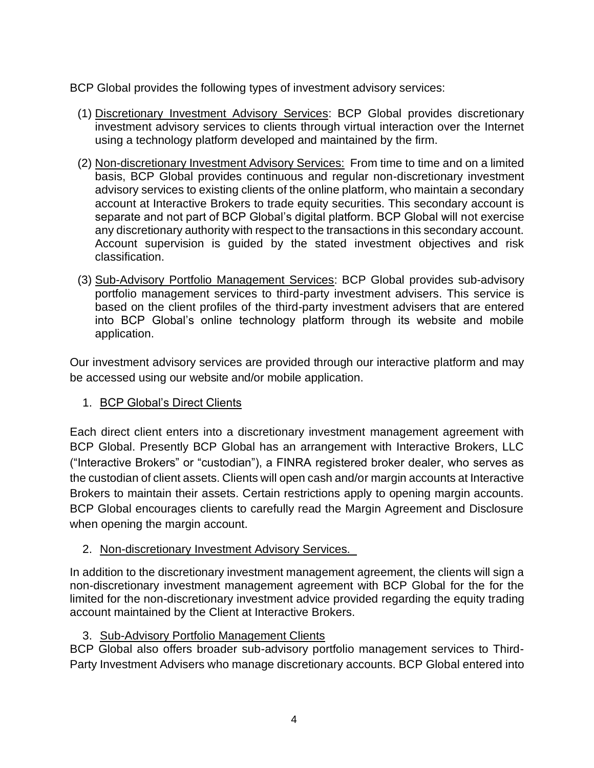BCP Global provides the following types of investment advisory services:

- (1) Discretionary Investment Advisory Services: BCP Global provides discretionary investment advisory services to clients through virtual interaction over the Internet using a technology platform developed and maintained by the firm.
- (2) Non-discretionary Investment Advisory Services: From time to time and on a limited basis, BCP Global provides continuous and regular non-discretionary investment advisory services to existing clients of the online platform, who maintain a secondary account at Interactive Brokers to trade equity securities. This secondary account is separate and not part of BCP Global's digital platform. BCP Global will not exercise any discretionary authority with respect to the transactions in this secondary account. Account supervision is guided by the stated investment objectives and risk classification.
- (3) Sub-Advisory Portfolio Management Services: BCP Global provides sub-advisory portfolio management services to third-party investment advisers. This service is based on the client profiles of the third-party investment advisers that are entered into BCP Global's online technology platform through its website and mobile application.

Our investment advisory services are provided through our interactive platform and may be accessed using our website and/or mobile application.

## 1. BCP Global's Direct Clients

Each direct client enters into a discretionary investment management agreement with BCP Global. Presently BCP Global has an arrangement with Interactive Brokers, LLC ("Interactive Brokers" or "custodian"), a FINRA registered broker dealer, who serves as the custodian of client assets. Clients will open cash and/or margin accounts at Interactive Brokers to maintain their assets. Certain restrictions apply to opening margin accounts. BCP Global encourages clients to carefully read the Margin Agreement and Disclosure when opening the margin account.

#### 2. Non-discretionary Investment Advisory Services.

In addition to the discretionary investment management agreement, the clients will sign a non-discretionary investment management agreement with BCP Global for the for the limited for the non-discretionary investment advice provided regarding the equity trading account maintained by the Client at Interactive Brokers.

## 3. Sub-Advisory Portfolio Management Clients

BCP Global also offers broader sub-advisory portfolio management services to Third-Party Investment Advisers who manage discretionary accounts. BCP Global entered into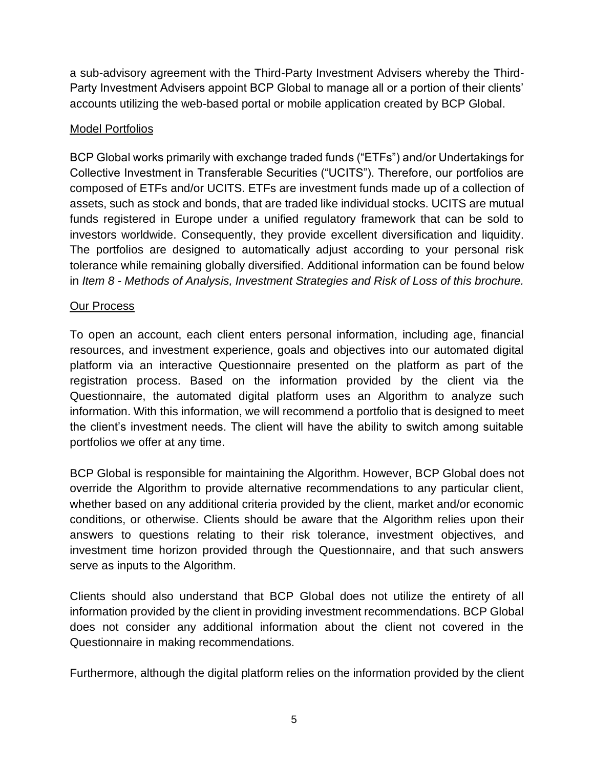a sub-advisory agreement with the Third-Party Investment Advisers whereby the Third-Party Investment Advisers appoint BCP Global to manage all or a portion of their clients' accounts utilizing the web-based portal or mobile application created by BCP Global.

## Model Portfolios

BCP Global works primarily with exchange traded funds ("ETFs") and/or Undertakings for Collective Investment in Transferable Securities ("UCITS"). Therefore, our portfolios are composed of ETFs and/or UCITS. ETFs are investment funds made up of a collection of assets, such as stock and bonds, that are traded like individual stocks. UCITS are mutual funds registered in Europe under a unified regulatory framework that can be sold to investors worldwide. Consequently, they provide excellent diversification and liquidity. The portfolios are designed to automatically adjust according to your personal risk tolerance while remaining globally diversified. Additional information can be found below in *Item 8 - Methods of Analysis, Investment Strategies and Risk of Loss of this brochure.*

## Our Process

To open an account, each client enters personal information, including age, financial resources, and investment experience, goals and objectives into our automated digital platform via an interactive Questionnaire presented on the platform as part of the registration process. Based on the information provided by the client via the Questionnaire, the automated digital platform uses an Algorithm to analyze such information. With this information, we will recommend a portfolio that is designed to meet the client's investment needs. The client will have the ability to switch among suitable portfolios we offer at any time.

BCP Global is responsible for maintaining the Algorithm. However, BCP Global does not override the Algorithm to provide alternative recommendations to any particular client, whether based on any additional criteria provided by the client, market and/or economic conditions, or otherwise. Clients should be aware that the Algorithm relies upon their answers to questions relating to their risk tolerance, investment objectives, and investment time horizon provided through the Questionnaire, and that such answers serve as inputs to the Algorithm.

Clients should also understand that BCP Global does not utilize the entirety of all information provided by the client in providing investment recommendations. BCP Global does not consider any additional information about the client not covered in the Questionnaire in making recommendations.

Furthermore, although the digital platform relies on the information provided by the client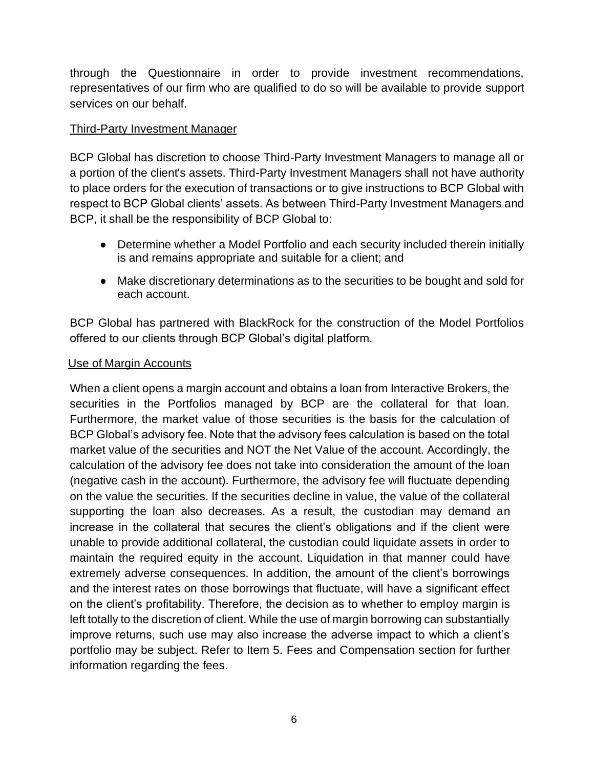through the Questionnaire in order to provide investment recommendations, representatives of our firm who are qualified to do so will be available to provide support services on our behalf.

## Third-Party Investment Manager

BCP Global has discretion to choose Third-Party Investment Managers to manage all or a portion of the client's assets. Third-Party Investment Managers shall not have authority to place orders for the execution of transactions or to give instructions to BCP Global with respect to BCP Global clients' assets. As between Third-Party Investment Managers and BCP, it shall be the responsibility of BCP Global to:

- Determine whether a Model Portfolio and each security included therein initially is and remains appropriate and suitable for a client; and
- Make discretionary determinations as to the securities to be bought and sold for each account.

BCP Global has partnered with BlackRock for the construction of the Model Portfolios offered to our clients through BCP Global's digital platform.

#### Use of Margin Accounts

When a client opens a margin account and obtains a loan from Interactive Brokers, the securities in the Portfolios managed by BCP are the collateral for that loan. Furthermore, the market value of those securities is the basis for the calculation of BCP Global's advisory fee. Note that the advisory fees calculation is based on the total market value of the securities and NOT the Net Value of the account. Accordingly, the calculation of the advisory fee does not take into consideration the amount of the loan (negative cash in the account). Furthermore, the advisory fee will fluctuate depending on the value the securities. If the securities decline in value, the value of the collateral supporting the loan also decreases. As a result, the custodian may demand an increase in the collateral that secures the client's obligations and if the client were unable to provide additional collateral, the custodian could liquidate assets in order to maintain the required equity in the account. Liquidation in that manner could have extremely adverse consequences. In addition, the amount of the client's borrowings and the interest rates on those borrowings that fluctuate, will have a significant effect on the client's profitability. Therefore, the decision as to whether to employ margin is left totally to the discretion of client. While the use of margin borrowing can substantially improve returns, such use may also increase the adverse impact to which a client's portfolio may be subject. Refer to Item 5. Fees and Compensation section for further information regarding the fees.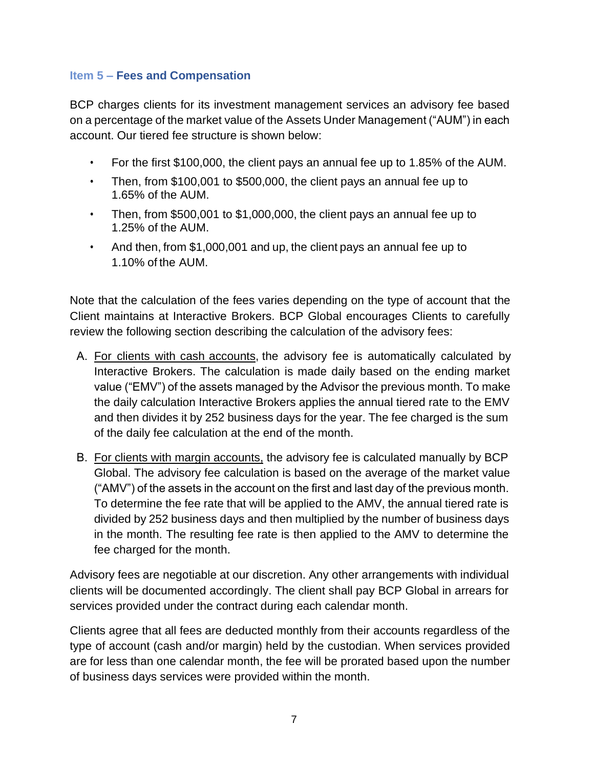## <span id="page-7-0"></span>**Item 5 – Fees and Compensation**

BCP charges clients for its investment management services an advisory fee based on a percentage of the market value of the Assets Under Management ("AUM") in each account. Our tiered fee structure is shown below:

- For the first \$100,000, the client pays an annual fee up to 1.85% of the AUM.
- Then, from \$100,001 to \$500,000, the client pays an annual fee up to 1.65% of the AUM.
- Then, from \$500,001 to \$1,000,000, the client pays an annual fee up to 1.25% of the AUM.
- And then, from \$1,000,001 and up, the client pays an annual fee up to 1.10% of the AUM.

Note that the calculation of the fees varies depending on the type of account that the Client maintains at Interactive Brokers. BCP Global encourages Clients to carefully review the following section describing the calculation of the advisory fees:

- A. For clients with cash accounts, the advisory fee is automatically calculated by Interactive Brokers. The calculation is made daily based on the ending market value ("EMV") of the assets managed by the Advisor the previous month. To make the daily calculation Interactive Brokers applies the annual tiered rate to the EMV and then divides it by 252 business days for the year. The fee charged is the sum of the daily fee calculation at the end of the month.
- B. For clients with margin accounts, the advisory fee is calculated manually by BCP Global. The advisory fee calculation is based on the average of the market value ("AMV") of the assets in the account on the first and last day of the previous month. To determine the fee rate that will be applied to the AMV, the annual tiered rate is divided by 252 business days and then multiplied by the number of business days in the month. The resulting fee rate is then applied to the AMV to determine the fee charged for the month.

Advisory fees are negotiable at our discretion. Any other arrangements with individual clients will be documented accordingly. The client shall pay BCP Global in arrears for services provided under the contract during each calendar month.

Clients agree that all fees are deducted monthly from their accounts regardless of the type of account (cash and/or margin) held by the custodian. When services provided are for less than one calendar month, the fee will be prorated based upon the number of business days services were provided within the month.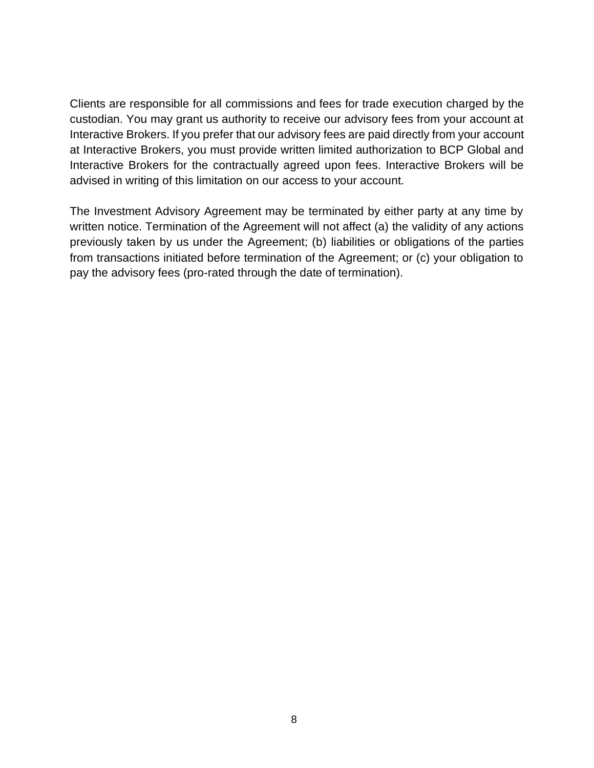Clients are responsible for all commissions and fees for trade execution charged by the custodian. You may grant us authority to receive our advisory fees from your account at Interactive Brokers. If you prefer that our advisory fees are paid directly from your account at Interactive Brokers, you must provide written limited authorization to BCP Global and Interactive Brokers for the contractually agreed upon fees. Interactive Brokers will be advised in writing of this limitation on our access to your account.

<span id="page-8-0"></span>The Investment Advisory Agreement may be terminated by either party at any time by written notice. Termination of the Agreement will not affect (a) the validity of any actions previously taken by us under the Agreement; (b) liabilities or obligations of the parties from transactions initiated before termination of the Agreement; or (c) your obligation to pay the advisory fees (pro-rated through the date of termination).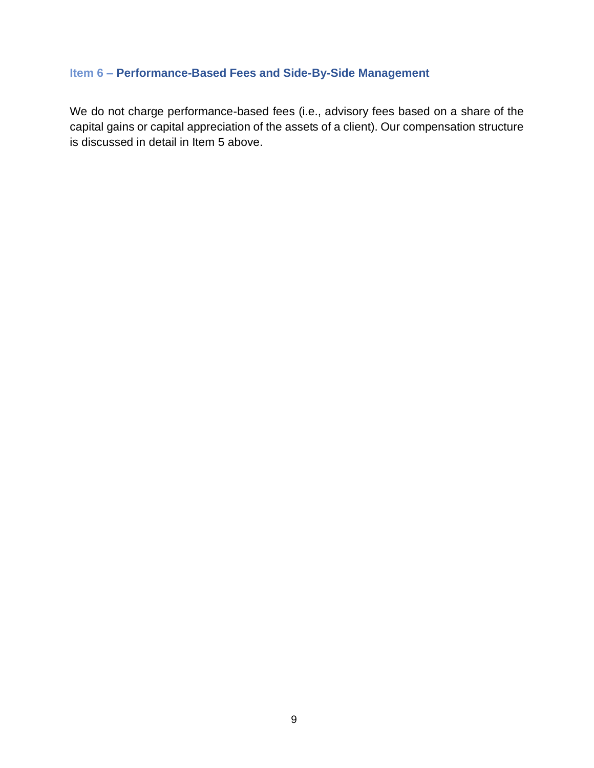## **Item 6 – Performance-Based Fees and Side-By-Side Management**

We do not charge performance-based fees (i.e., advisory fees based on a share of the capital gains or capital appreciation of the assets of a client). Our compensation structure is discussed in detail in Item 5 above.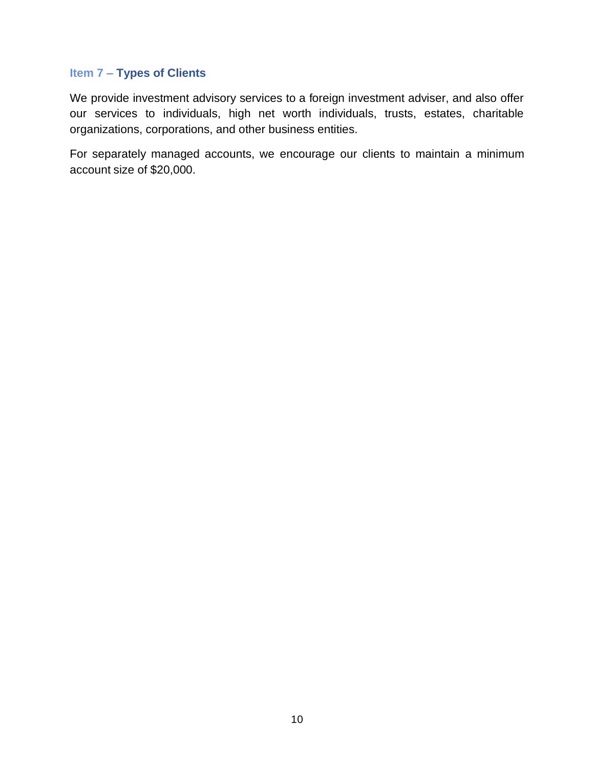#### <span id="page-10-0"></span>**Item 7 – Types of Clients**

We provide investment advisory services to a foreign investment adviser, and also offer our services to individuals, high net worth individuals, trusts, estates, charitable organizations, corporations, and other business entities.

For separately managed accounts, we encourage our clients to maintain a minimum account size of \$20,000.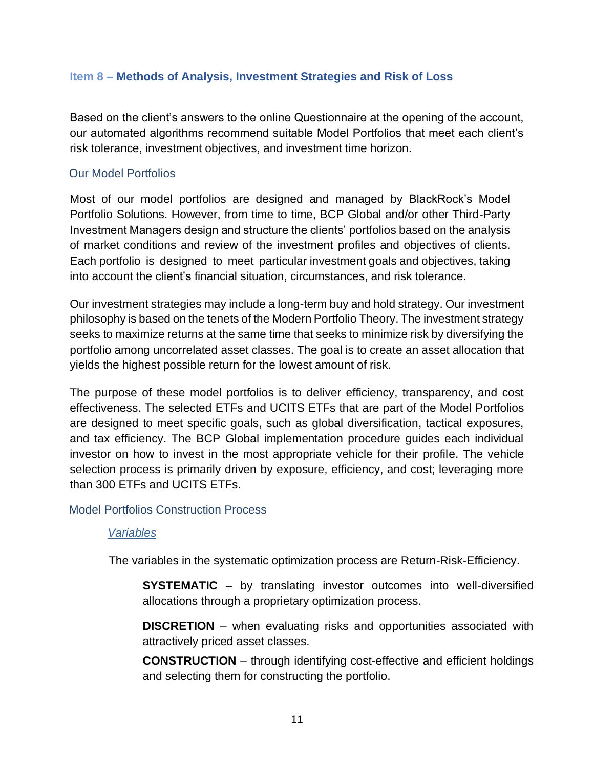#### <span id="page-11-0"></span>**Item 8 – Methods of Analysis, Investment Strategies and Risk of Loss**

Based on the client's answers to the online Questionnaire at the opening of the account, our automated algorithms recommend suitable Model Portfolios that meet each client's risk tolerance, investment objectives, and investment time horizon.

### Our Model Portfolios

Most of our model portfolios are designed and managed by BlackRock's Model Portfolio Solutions. However, from time to time, BCP Global and/or other Third-Party Investment Managers design and structure the clients' portfolios based on the analysis of market conditions and review of the investment profiles and objectives of clients. Each portfolio is designed to meet particular investment goals and objectives, taking into account the client's financial situation, circumstances, and risk tolerance.

Our investment strategies may include a long-term buy and hold strategy. Our investment philosophy is based on the tenets of the Modern Portfolio Theory. The investment strategy seeks to maximize returns at the same time that seeks to minimize risk by diversifying the portfolio among uncorrelated asset classes. The goal is to create an asset allocation that yields the highest possible return for the lowest amount of risk.

The purpose of these model portfolios is to deliver efficiency, transparency, and cost effectiveness. The selected ETFs and UCITS ETFs that are part of the Model Portfolios are designed to meet specific goals, such as global diversification, tactical exposures, and tax efficiency. The BCP Global implementation procedure guides each individual investor on how to invest in the most appropriate vehicle for their profile. The vehicle selection process is primarily driven by exposure, efficiency, and cost; leveraging more than 300 ETFs and UCITS ETFs.

#### Model Portfolios Construction Process

#### *Variables*

The variables in the systematic optimization process are Return-Risk-Efficiency.

**SYSTEMATIC** – by translating investor outcomes into well-diversified allocations through a proprietary optimization process.

**DISCRETION** – when evaluating risks and opportunities associated with attractively priced asset classes.

**CONSTRUCTION** – through identifying cost-effective and efficient holdings and selecting them for constructing the portfolio.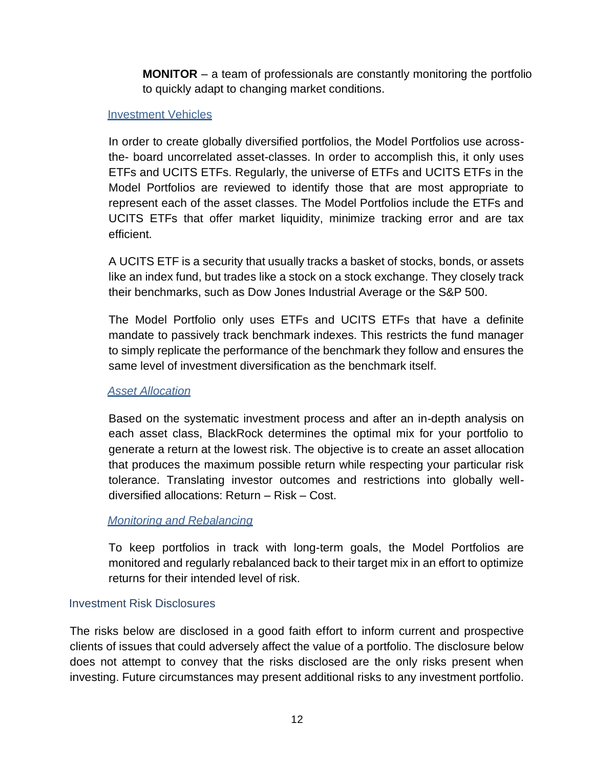**MONITOR** – a team of professionals are constantly monitoring the portfolio to quickly adapt to changing market conditions.

#### Investment Vehicles

In order to create globally diversified portfolios, the Model Portfolios use acrossthe- board uncorrelated asset-classes. In order to accomplish this, it only uses ETFs and UCITS ETFs. Regularly, the universe of ETFs and UCITS ETFs in the Model Portfolios are reviewed to identify those that are most appropriate to represent each of the asset classes. The Model Portfolios include the ETFs and UCITS ETFs that offer market liquidity, minimize tracking error and are tax efficient.

A UCITS ETF is a security that usually tracks a basket of stocks, bonds, or assets like an index fund, but trades like a stock on a stock exchange. They closely track their benchmarks, such as Dow Jones Industrial Average or the S&P 500.

The Model Portfolio only uses ETFs and UCITS ETFs that have a definite mandate to passively track benchmark indexes. This restricts the fund manager to simply replicate the performance of the benchmark they follow and ensures the same level of investment diversification as the benchmark itself.

#### *Asset Allocation*

Based on the systematic investment process and after an in-depth analysis on each asset class, BlackRock determines the optimal mix for your portfolio to generate a return at the lowest risk. The objective is to create an asset allocation that produces the maximum possible return while respecting your particular risk tolerance. Translating investor outcomes and restrictions into globally welldiversified allocations: Return – Risk – Cost.

#### *Monitoring and Rebalancing*

To keep portfolios in track with long-term goals, the Model Portfolios are monitored and regularly rebalanced back to their target mix in an effort to optimize returns for their intended level of risk.

#### Investment Risk Disclosures

The risks below are disclosed in a good faith effort to inform current and prospective clients of issues that could adversely affect the value of a portfolio. The disclosure below does not attempt to convey that the risks disclosed are the only risks present when investing. Future circumstances may present additional risks to any investment portfolio.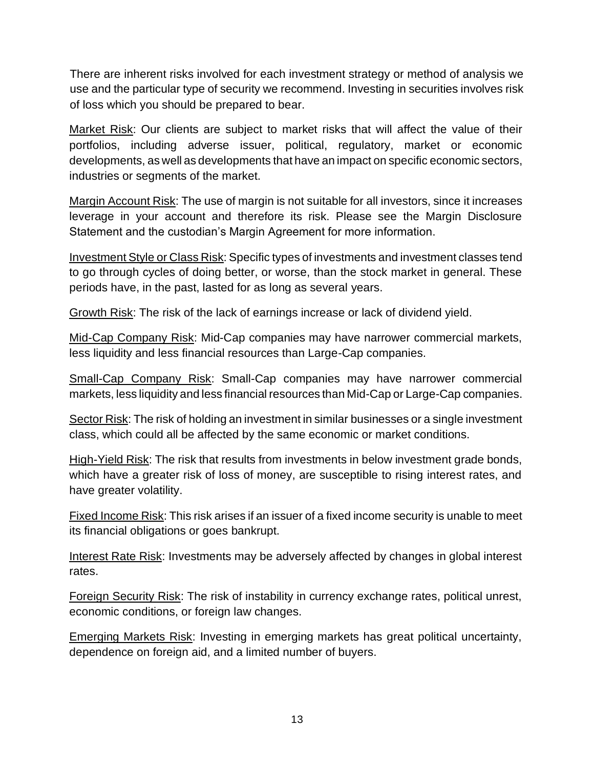There are inherent risks involved for each investment strategy or method of analysis we use and the particular type of security we recommend. Investing in securities involves risk of loss which you should be prepared to bear.

Market Risk: Our clients are subject to market risks that will affect the value of their portfolios, including adverse issuer, political, regulatory, market or economic developments, as well as developments that have an impact on specific economic sectors, industries or segments of the market.

Margin Account Risk: The use of margin is not suitable for all investors, since it increases leverage in your account and therefore its risk. Please see the Margin Disclosure Statement and the custodian's Margin Agreement for more information.

Investment Style or Class Risk: Specific types of investments and investment classes tend to go through cycles of doing better, or worse, than the stock market in general. These periods have, in the past, lasted for as long as several years.

Growth Risk: The risk of the lack of earnings increase or lack of dividend yield.

Mid-Cap Company Risk: Mid-Cap companies may have narrower commercial markets, less liquidity and less financial resources than Large-Cap companies.

Small-Cap Company Risk: Small-Cap companies may have narrower commercial markets, less liquidity and less financial resources than Mid-Cap or Large-Cap companies.

Sector Risk: The risk of holding an investment in similar businesses or a single investment class, which could all be affected by the same economic or market conditions.

High-Yield Risk: The risk that results from investments in below investment grade bonds, which have a greater risk of loss of money, are susceptible to rising interest rates, and have greater volatility.

**Fixed Income Risk:** This risk arises if an issuer of a fixed income security is unable to meet its financial obligations or goes bankrupt.

Interest Rate Risk: Investments may be adversely affected by changes in global interest rates.

Foreign Security Risk: The risk of instability in currency exchange rates, political unrest, economic conditions, or foreign law changes.

Emerging Markets Risk: Investing in emerging markets has great political uncertainty, dependence on foreign aid, and a limited number of buyers.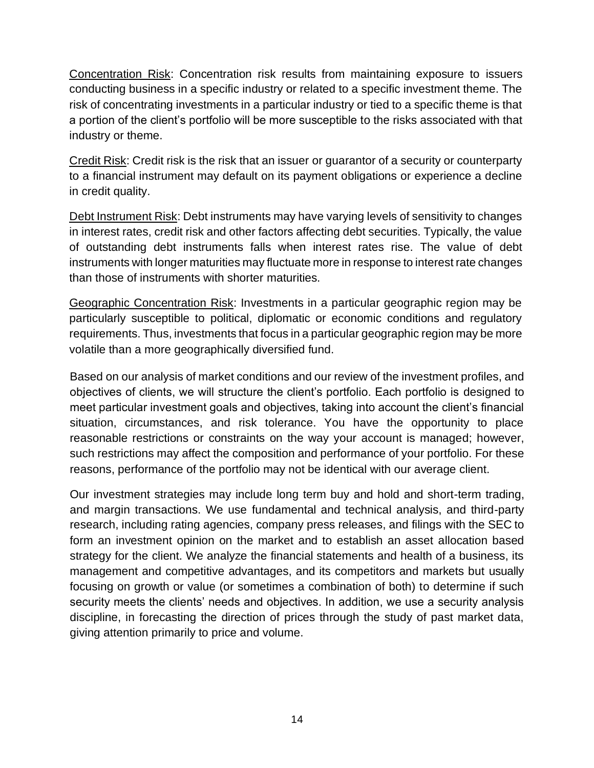Concentration Risk: Concentration risk results from maintaining exposure to issuers conducting business in a specific industry or related to a specific investment theme. The risk of concentrating investments in a particular industry or tied to a specific theme is that a portion of the client's portfolio will be more susceptible to the risks associated with that industry or theme.

Credit Risk: Credit risk is the risk that an issuer or guarantor of a security or counterparty to a financial instrument may default on its payment obligations or experience a decline in credit quality.

Debt Instrument Risk: Debt instruments may have varying levels of sensitivity to changes in interest rates, credit risk and other factors affecting debt securities. Typically, the value of outstanding debt instruments falls when interest rates rise. The value of debt instruments with longer maturities may fluctuate more in response to interest rate changes than those of instruments with shorter maturities.

Geographic Concentration Risk: Investments in a particular geographic region may be particularly susceptible to political, diplomatic or economic conditions and regulatory requirements. Thus, investments that focus in a particular geographic region may be more volatile than a more geographically diversified fund.

Based on our analysis of market conditions and our review of the investment profiles, and objectives of clients, we will structure the client's portfolio. Each portfolio is designed to meet particular investment goals and objectives, taking into account the client's financial situation, circumstances, and risk tolerance. You have the opportunity to place reasonable restrictions or constraints on the way your account is managed; however, such restrictions may affect the composition and performance of your portfolio. For these reasons, performance of the portfolio may not be identical with our average client.

Our investment strategies may include long term buy and hold and short-term trading, and margin transactions. We use fundamental and technical analysis, and third-party research, including rating agencies, company press releases, and filings with the SEC to form an investment opinion on the market and to establish an asset allocation based strategy for the client. We analyze the financial statements and health of a business, its management and competitive advantages, and its competitors and markets but usually focusing on growth or value (or sometimes a combination of both) to determine if such security meets the clients' needs and objectives. In addition, we use a security analysis discipline, in forecasting the direction of prices through the study of past market data, giving attention primarily to price and volume.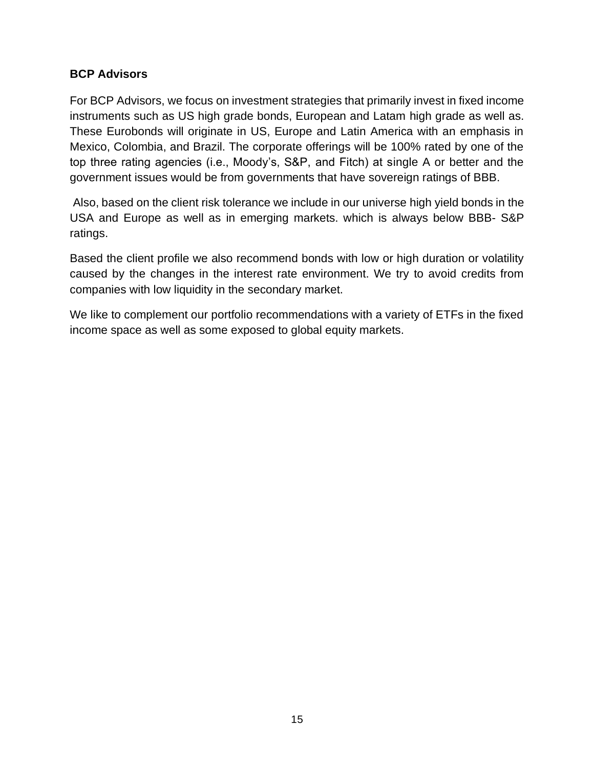## **BCP Advisors**

For BCP Advisors, we focus on investment strategies that primarily invest in fixed income instruments such as US high grade bonds, European and Latam high grade as well as. These Eurobonds will originate in US, Europe and Latin America with an emphasis in Mexico, Colombia, and Brazil. The corporate offerings will be 100% rated by one of the top three rating agencies (i.e., Moody's, S&P, and Fitch) at single A or better and the government issues would be from governments that have sovereign ratings of BBB.

Also, based on the client risk tolerance we include in our universe high yield bonds in the USA and Europe as well as in emerging markets. which is always below BBB- S&P ratings.

Based the client profile we also recommend bonds with low or high duration or volatility caused by the changes in the interest rate environment. We try to avoid credits from companies with low liquidity in the secondary market.

We like to complement our portfolio recommendations with a variety of ETFs in the fixed income space as well as some exposed to global equity markets.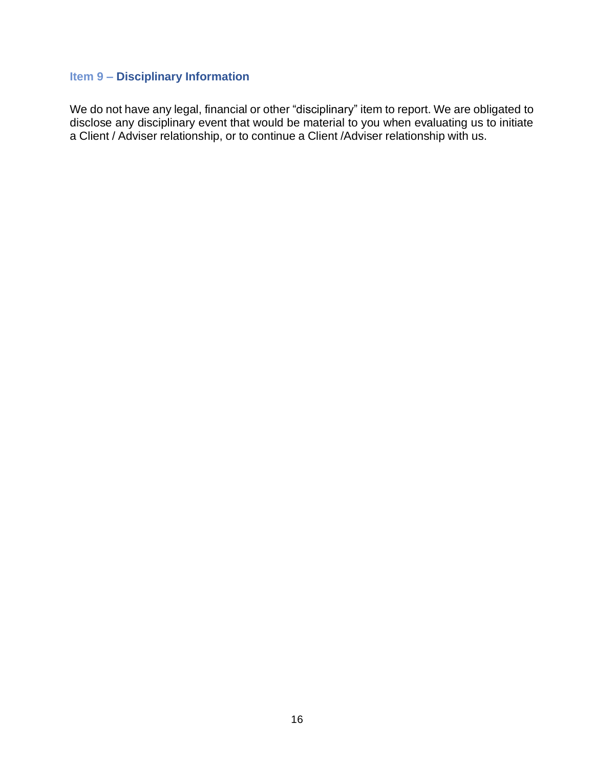## <span id="page-16-0"></span>**Item 9 – Disciplinary Information**

We do not have any legal, financial or other "disciplinary" item to report. We are obligated to disclose any disciplinary event that would be material to you when evaluating us to initiate a Client / Adviser relationship, or to continue a Client /Adviser relationship with us.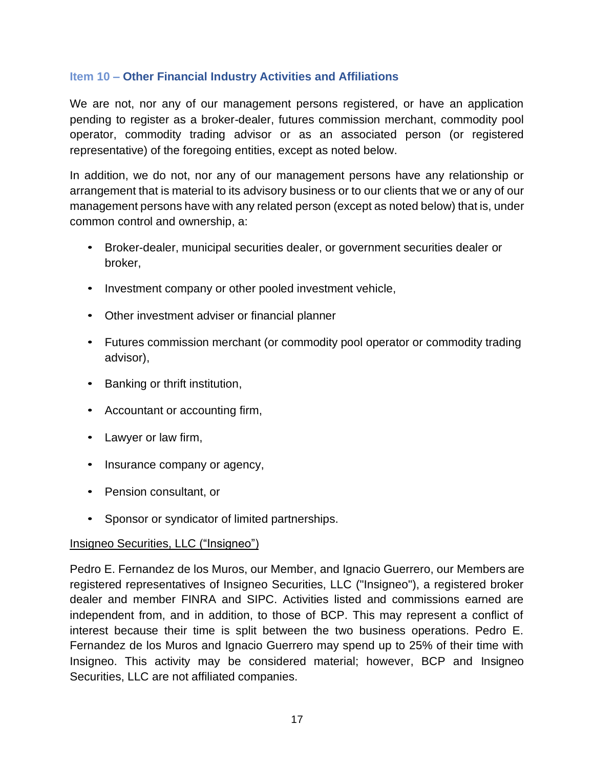## <span id="page-17-0"></span>**Item 10 – Other Financial Industry Activities and Affiliations**

We are not, nor any of our management persons registered, or have an application pending to register as a broker-dealer, futures commission merchant, commodity pool operator, commodity trading advisor or as an associated person (or registered representative) of the foregoing entities, except as noted below.

In addition, we do not, nor any of our management persons have any relationship or arrangement that is material to its advisory business or to our clients that we or any of our management persons have with any related person (except as noted below) that is, under common control and ownership, a:

- Broker-dealer, municipal securities dealer, or government securities dealer or broker,
- Investment company or other pooled investment vehicle,
- Other investment adviser or financial planner
- Futures commission merchant (or commodity pool operator or commodity trading advisor),
- Banking or thrift institution,
- Accountant or accounting firm,
- Lawyer or law firm,
- Insurance company or agency,
- Pension consultant, or
- Sponsor or syndicator of limited partnerships.

#### Insigneo Securities, LLC ("Insigneo")

Pedro E. Fernandez de los Muros, our Member, and Ignacio Guerrero, our Members are registered representatives of Insigneo Securities, LLC ("Insigneo"), a registered broker dealer and member FINRA and SIPC. Activities listed and commissions earned are independent from, and in addition, to those of BCP. This may represent a conflict of interest because their time is split between the two business operations. Pedro E. Fernandez de los Muros and Ignacio Guerrero may spend up to 25% of their time with Insigneo. This activity may be considered material; however, BCP and Insigneo Securities, LLC are not affiliated companies.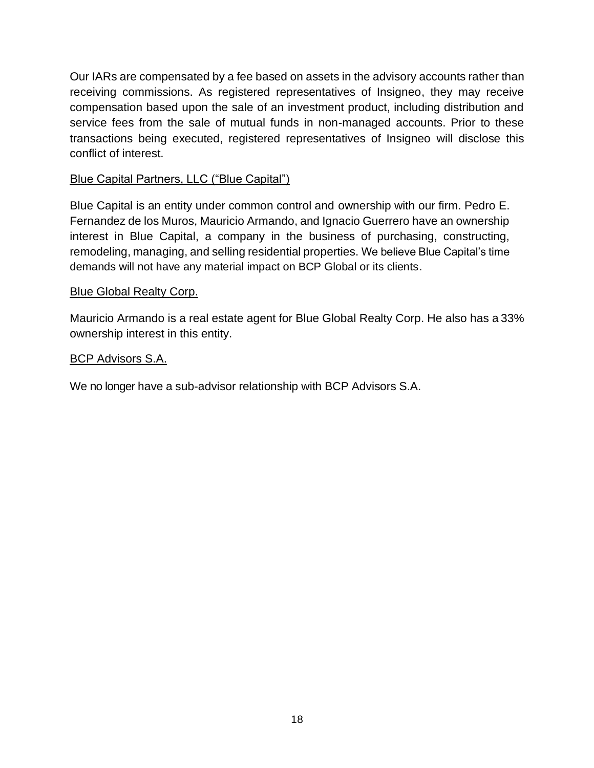Our IARs are compensated by a fee based on assets in the advisory accounts rather than receiving commissions. As registered representatives of Insigneo, they may receive compensation based upon the sale of an investment product, including distribution and service fees from the sale of mutual funds in non-managed accounts. Prior to these transactions being executed, registered representatives of Insigneo will disclose this conflict of interest.

## Blue Capital Partners, LLC ("Blue Capital")

Blue Capital is an entity under common control and ownership with our firm. Pedro E. Fernandez de los Muros, Mauricio Armando, and Ignacio Guerrero have an ownership interest in Blue Capital, a company in the business of purchasing, constructing, remodeling, managing, and selling residential properties. We believe Blue Capital's time demands will not have any material impact on BCP Global or its clients.

## Blue Global Realty Corp.

Mauricio Armando is a real estate agent for Blue Global Realty Corp. He also has a 33% ownership interest in this entity.

### BCP Advisors S.A.

We no longer have a sub-advisor relationship with BCP Advisors S.A.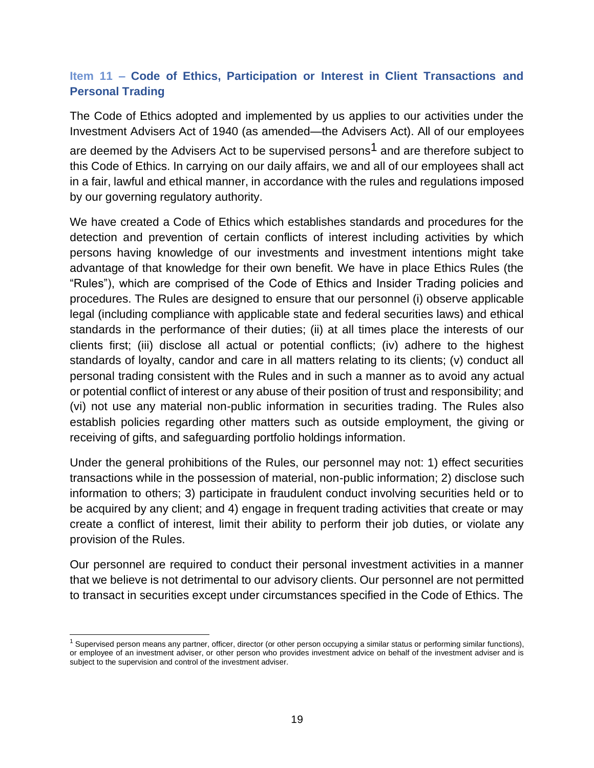## <span id="page-19-0"></span>**Item 11 – Code of Ethics, Participation or Interest in Client Transactions and Personal Trading**

The Code of Ethics adopted and implemented by us applies to our activities under the Investment Advisers Act of 1940 (as amended—the Advisers Act). All of our employees are deemed by the Advisers Act to be supervised persons<sup>1</sup> and are therefore subject to this Code of Ethics. In carrying on our daily affairs, we and all of our employees shall act in a fair, lawful and ethical manner, in accordance with the rules and regulations imposed by our governing regulatory authority.

We have created a Code of Ethics which establishes standards and procedures for the detection and prevention of certain conflicts of interest including activities by which persons having knowledge of our investments and investment intentions might take advantage of that knowledge for their own benefit. We have in place Ethics Rules (the "Rules"), which are comprised of the Code of Ethics and Insider Trading policies and procedures. The Rules are designed to ensure that our personnel (i) observe applicable legal (including compliance with applicable state and federal securities laws) and ethical standards in the performance of their duties; (ii) at all times place the interests of our clients first; (iii) disclose all actual or potential conflicts; (iv) adhere to the highest standards of loyalty, candor and care in all matters relating to its clients; (v) conduct all personal trading consistent with the Rules and in such a manner as to avoid any actual or potential conflict of interest or any abuse of their position of trust and responsibility; and (vi) not use any material non-public information in securities trading. The Rules also establish policies regarding other matters such as outside employment, the giving or receiving of gifts, and safeguarding portfolio holdings information.

Under the general prohibitions of the Rules, our personnel may not: 1) effect securities transactions while in the possession of material, non-public information; 2) disclose such information to others; 3) participate in fraudulent conduct involving securities held or to be acquired by any client; and 4) engage in frequent trading activities that create or may create a conflict of interest, limit their ability to perform their job duties, or violate any provision of the Rules.

Our personnel are required to conduct their personal investment activities in a manner that we believe is not detrimental to our advisory clients. Our personnel are not permitted to transact in securities except under circumstances specified in the Code of Ethics. The

 $1$  Supervised person means any partner, officer, director (or other person occupying a similar status or performing similar functions), or employee of an investment adviser, or other person who provides investment advice on behalf of the investment adviser and is subject to the supervision and control of the investment adviser.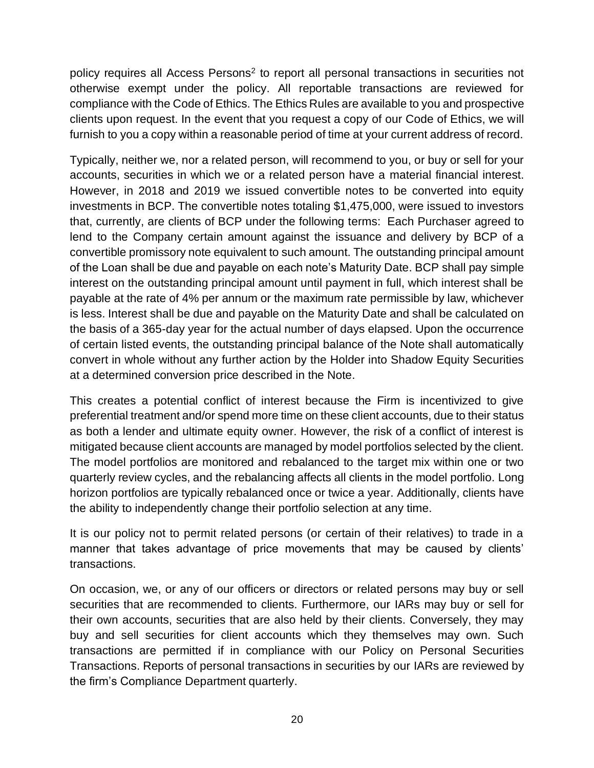policy requires all Access Persons<sup>2</sup> to report all personal transactions in securities not otherwise exempt under the policy. All reportable transactions are reviewed for compliance with the Code of Ethics. The Ethics Rules are available to you and prospective clients upon request. In the event that you request a copy of our Code of Ethics, we will furnish to you a copy within a reasonable period of time at your current address of record.

Typically, neither we, nor a related person, will recommend to you, or buy or sell for your accounts, securities in which we or a related person have a material financial interest. However, in 2018 and 2019 we issued convertible notes to be converted into equity investments in BCP. The convertible notes totaling \$1,475,000, were issued to investors that, currently, are clients of BCP under the following terms: Each Purchaser agreed to lend to the Company certain amount against the issuance and delivery by BCP of a convertible promissory note equivalent to such amount. The outstanding principal amount of the Loan shall be due and payable on each note's Maturity Date. BCP shall pay simple interest on the outstanding principal amount until payment in full, which interest shall be payable at the rate of 4% per annum or the maximum rate permissible by law, whichever is less. Interest shall be due and payable on the Maturity Date and shall be calculated on the basis of a 365-day year for the actual number of days elapsed. Upon the occurrence of certain listed events, the outstanding principal balance of the Note shall automatically convert in whole without any further action by the Holder into Shadow Equity Securities at a determined conversion price described in the Note.

This creates a potential conflict of interest because the Firm is incentivized to give preferential treatment and/or spend more time on these client accounts, due to their status as both a lender and ultimate equity owner. However, the risk of a conflict of interest is mitigated because client accounts are managed by model portfolios selected by the client. The model portfolios are monitored and rebalanced to the target mix within one or two quarterly review cycles, and the rebalancing affects all clients in the model portfolio. Long horizon portfolios are typically rebalanced once or twice a year. Additionally, clients have the ability to independently change their portfolio selection at any time.

It is our policy not to permit related persons (or certain of their relatives) to trade in a manner that takes advantage of price movements that may be caused by clients' transactions.

On occasion, we, or any of our officers or directors or related persons may buy or sell securities that are recommended to clients. Furthermore, our IARs may buy or sell for their own accounts, securities that are also held by their clients. Conversely, they may buy and sell securities for client accounts which they themselves may own. Such transactions are permitted if in compliance with our Policy on Personal Securities Transactions. Reports of personal transactions in securities by our IARs are reviewed by the firm's Compliance Department quarterly.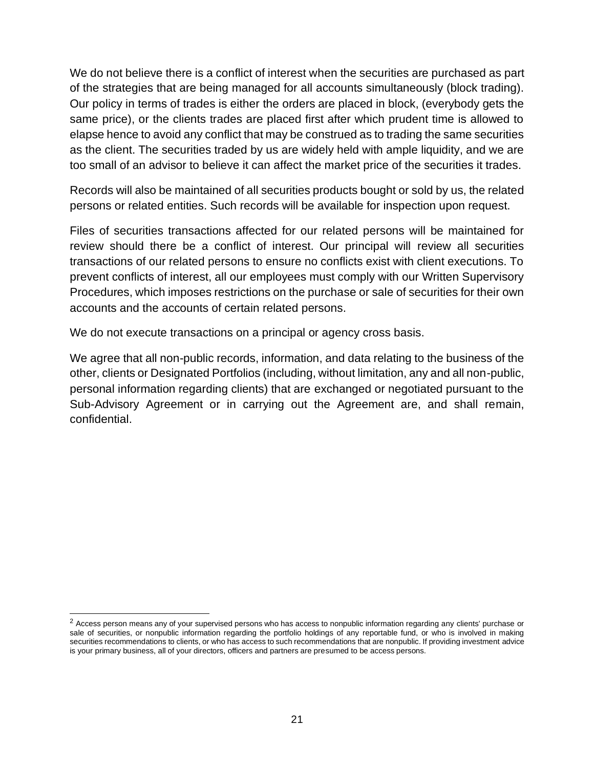We do not believe there is a conflict of interest when the securities are purchased as part of the strategies that are being managed for all accounts simultaneously (block trading). Our policy in terms of trades is either the orders are placed in block, (everybody gets the same price), or the clients trades are placed first after which prudent time is allowed to elapse hence to avoid any conflict that may be construed as to trading the same securities as the client. The securities traded by us are widely held with ample liquidity, and we are too small of an advisor to believe it can affect the market price of the securities it trades.

Records will also be maintained of all securities products bought or sold by us, the related persons or related entities. Such records will be available for inspection upon request.

Files of securities transactions affected for our related persons will be maintained for review should there be a conflict of interest. Our principal will review all securities transactions of our related persons to ensure no conflicts exist with client executions. To prevent conflicts of interest, all our employees must comply with our Written Supervisory Procedures, which imposes restrictions on the purchase or sale of securities for their own accounts and the accounts of certain related persons.

We do not execute transactions on a principal or agency cross basis.

We agree that all non-public records, information, and data relating to the business of the other, clients or Designated Portfolios (including, without limitation, any and all non-public, personal information regarding clients) that are exchanged or negotiated pursuant to the Sub-Advisory Agreement or in carrying out the Agreement are, and shall remain, confidential.

 $2$  Access person means any of your supervised persons who has access to nonpublic information regarding any clients' purchase or sale of securities, or nonpublic information regarding the portfolio holdings of any reportable fund, or who is involved in making securities recommendations to clients, or who has access to such recommendations that are nonpublic. If providing investment advice is your primary business, all of your directors, officers and partners are presumed to be access persons.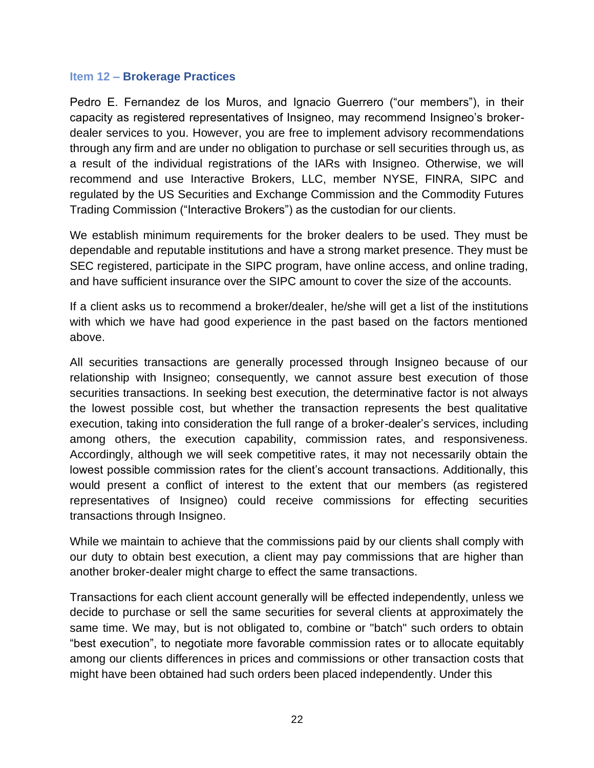#### <span id="page-22-0"></span>**Item 12 – Brokerage Practices**

Pedro E. Fernandez de los Muros, and Ignacio Guerrero ("our members"), in their capacity as registered representatives of Insigneo, may recommend Insigneo's brokerdealer services to you. However, you are free to implement advisory recommendations through any firm and are under no obligation to purchase or sell securities through us, as a result of the individual registrations of the IARs with Insigneo. Otherwise, we will recommend and use Interactive Brokers, LLC, member NYSE, FINRA, SIPC and regulated by the US Securities and Exchange Commission and the Commodity Futures Trading Commission ("Interactive Brokers") as the custodian for our clients.

We establish minimum requirements for the broker dealers to be used. They must be dependable and reputable institutions and have a strong market presence. They must be SEC registered, participate in the SIPC program, have online access, and online trading, and have sufficient insurance over the SIPC amount to cover the size of the accounts.

If a client asks us to recommend a broker/dealer, he/she will get a list of the institutions with which we have had good experience in the past based on the factors mentioned above.

All securities transactions are generally processed through Insigneo because of our relationship with Insigneo; consequently, we cannot assure best execution of those securities transactions. In seeking best execution, the determinative factor is not always the lowest possible cost, but whether the transaction represents the best qualitative execution, taking into consideration the full range of a broker-dealer's services, including among others, the execution capability, commission rates, and responsiveness. Accordingly, although we will seek competitive rates, it may not necessarily obtain the lowest possible commission rates for the client's account transactions. Additionally, this would present a conflict of interest to the extent that our members (as registered representatives of Insigneo) could receive commissions for effecting securities transactions through Insigneo.

While we maintain to achieve that the commissions paid by our clients shall comply with our duty to obtain best execution, a client may pay commissions that are higher than another broker-dealer might charge to effect the same transactions.

Transactions for each client account generally will be effected independently, unless we decide to purchase or sell the same securities for several clients at approximately the same time. We may, but is not obligated to, combine or "batch" such orders to obtain "best execution", to negotiate more favorable commission rates or to allocate equitably among our clients differences in prices and commissions or other transaction costs that might have been obtained had such orders been placed independently. Under this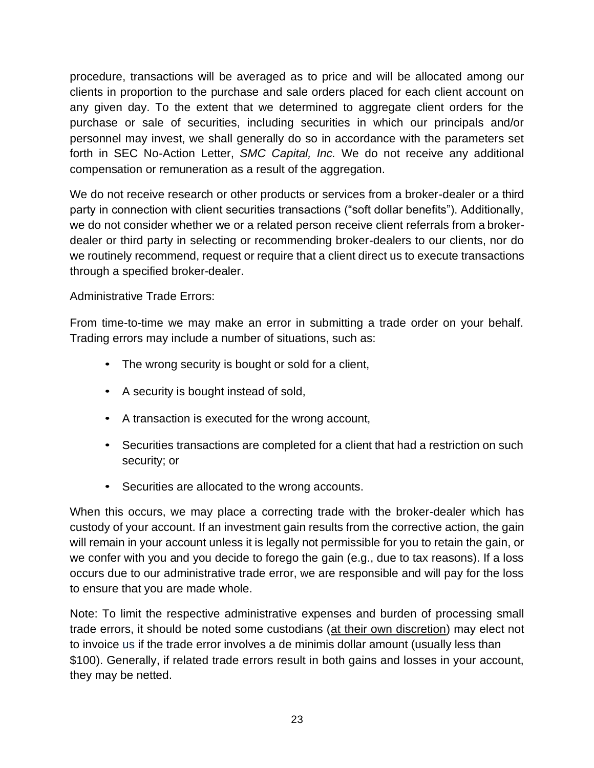procedure, transactions will be averaged as to price and will be allocated among our clients in proportion to the purchase and sale orders placed for each client account on any given day. To the extent that we determined to aggregate client orders for the purchase or sale of securities, including securities in which our principals and/or personnel may invest, we shall generally do so in accordance with the parameters set forth in SEC No-Action Letter, *SMC Capital, Inc.* We do not receive any additional compensation or remuneration as a result of the aggregation.

We do not receive research or other products or services from a broker-dealer or a third party in connection with client securities transactions ("soft dollar benefits"). Additionally, we do not consider whether we or a related person receive client referrals from a brokerdealer or third party in selecting or recommending broker-dealers to our clients, nor do we routinely recommend, request or require that a client direct us to execute transactions through a specified broker-dealer.

## Administrative Trade Errors:

From time-to-time we may make an error in submitting a trade order on your behalf. Trading errors may include a number of situations, such as:

- The wrong security is bought or sold for a client,
- A security is bought instead of sold,
- A transaction is executed for the wrong account,
- Securities transactions are completed for a client that had a restriction on such security; or
- Securities are allocated to the wrong accounts.

When this occurs, we may place a correcting trade with the broker-dealer which has custody of your account. If an investment gain results from the corrective action, the gain will remain in your account unless it is legally not permissible for you to retain the gain, or we confer with you and you decide to forego the gain (e.g., due to tax reasons). If a loss occurs due to our administrative trade error, we are responsible and will pay for the loss to ensure that you are made whole.

Note: To limit the respective administrative expenses and burden of processing small trade errors, it should be noted some custodians (at their own discretion) may elect not to invoice us if the trade error involves a de minimis dollar amount (usually less than \$100). Generally, if related trade errors result in both gains and losses in your account, they may be netted.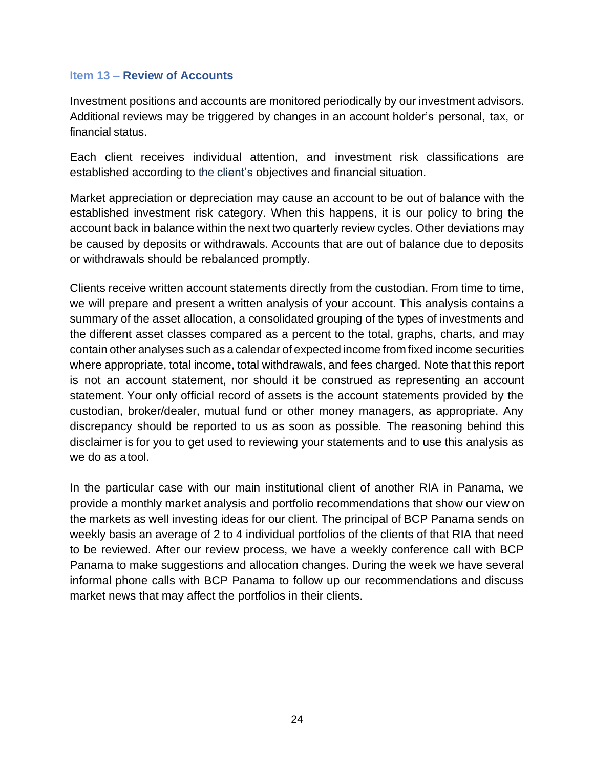#### <span id="page-24-0"></span>**Item 13 – Review of Accounts**

Investment positions and accounts are monitored periodically by our investment advisors. Additional reviews may be triggered by changes in an account holder's personal, tax, or financial status.

Each client receives individual attention, and investment risk classifications are established according to the client's objectives and financial situation.

Market appreciation or depreciation may cause an account to be out of balance with the established investment risk category. When this happens, it is our policy to bring the account back in balance within the next two quarterly review cycles. Other deviations may be caused by deposits or withdrawals. Accounts that are out of balance due to deposits or withdrawals should be rebalanced promptly.

Clients receive written account statements directly from the custodian. From time to time, we will prepare and present a written analysis of your account. This analysis contains a summary of the asset allocation, a consolidated grouping of the types of investments and the different asset classes compared as a percent to the total, graphs, charts, and may contain other analyses such as a calendar of expected income from fixed income securities where appropriate, total income, total withdrawals, and fees charged. Note that this report is not an account statement, nor should it be construed as representing an account statement. Your only official record of assets is the account statements provided by the custodian, broker/dealer, mutual fund or other money managers, as appropriate. Any discrepancy should be reported to us as soon as possible*.* The reasoning behind this disclaimer is for you to get used to reviewing your statements and to use this analysis as we do as atool.

In the particular case with our main institutional client of another RIA in Panama, we provide a monthly market analysis and portfolio recommendations that show our view on the markets as well investing ideas for our client. The principal of BCP Panama sends on weekly basis an average of 2 to 4 individual portfolios of the clients of that RIA that need to be reviewed. After our review process, we have a weekly conference call with BCP Panama to make suggestions and allocation changes. During the week we have several informal phone calls with BCP Panama to follow up our recommendations and discuss market news that may affect the portfolios in their clients.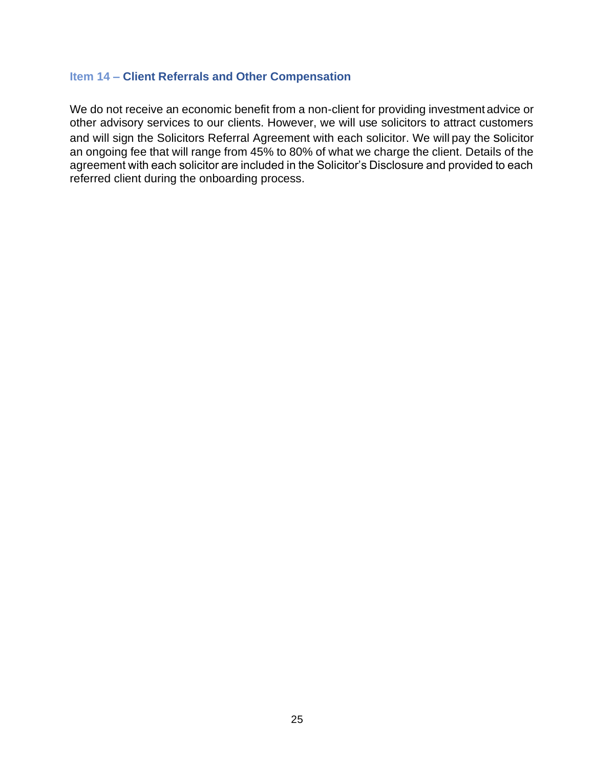## <span id="page-25-0"></span>**Item 14 – Client Referrals and Other Compensation**

We do not receive an economic benefit from a non-client for providing investment advice or other advisory services to our clients. However, we will use solicitors to attract customers and will sign the Solicitors Referral Agreement with each solicitor. We will pay the solicitor an ongoing fee that will range from 45% to 80% of what we charge the client. Details of the agreement with each solicitor are included in the Solicitor's Disclosure and provided to each referred client during the onboarding process.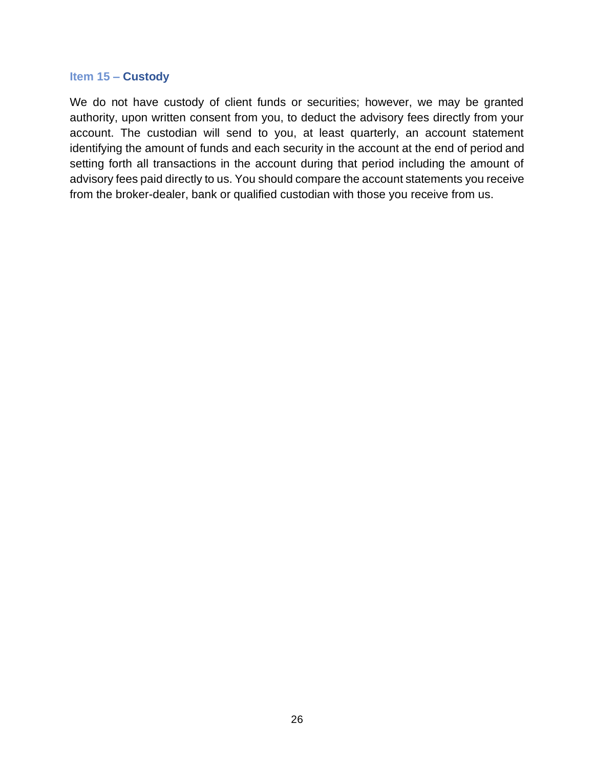#### <span id="page-26-0"></span>**Item 15 – Custody**

We do not have custody of client funds or securities; however, we may be granted authority, upon written consent from you, to deduct the advisory fees directly from your account. The custodian will send to you, at least quarterly, an account statement identifying the amount of funds and each security in the account at the end of period and setting forth all transactions in the account during that period including the amount of advisory fees paid directly to us. You should compare the account statements you receive from the broker-dealer, bank or qualified custodian with those you receive from us.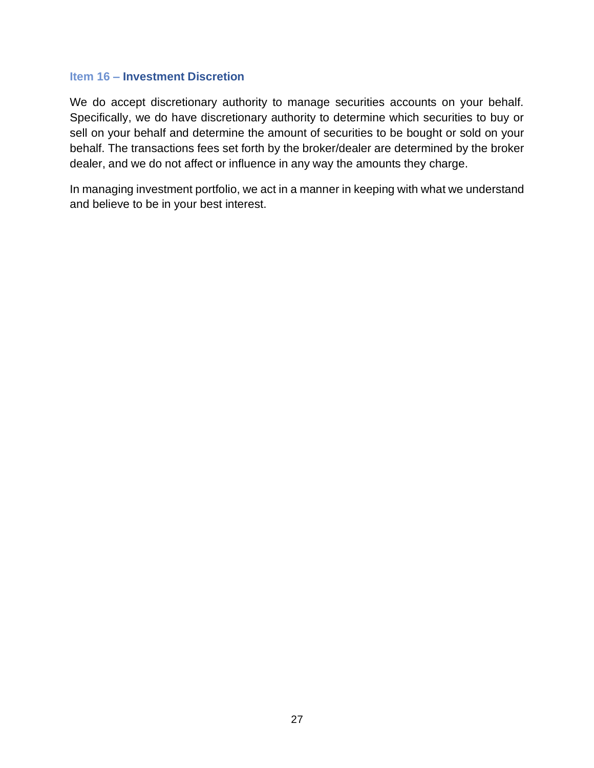#### <span id="page-27-0"></span>**Item 16 – Investment Discretion**

We do accept discretionary authority to manage securities accounts on your behalf. Specifically, we do have discretionary authority to determine which securities to buy or sell on your behalf and determine the amount of securities to be bought or sold on your behalf. The transactions fees set forth by the broker/dealer are determined by the broker dealer, and we do not affect or influence in any way the amounts they charge.

In managing investment portfolio, we act in a manner in keeping with what we understand and believe to be in your best interest.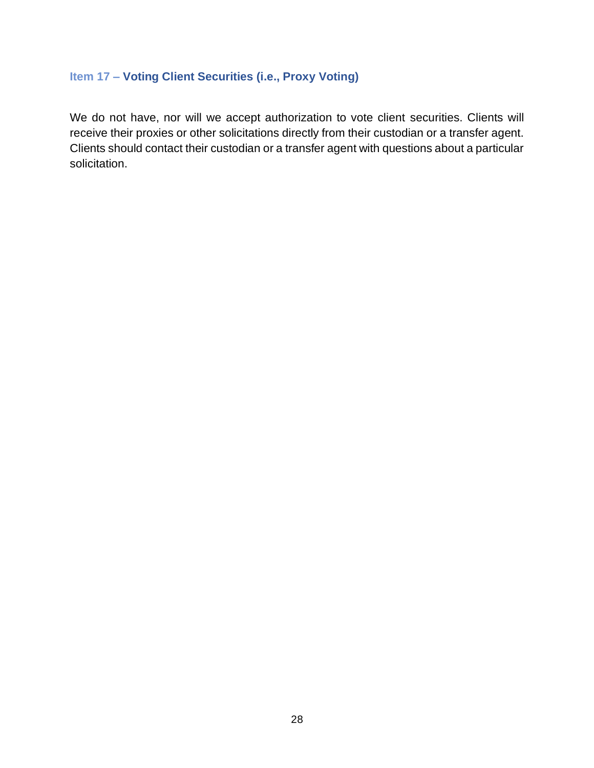## <span id="page-28-0"></span>**Item 17 – Voting Client Securities (i.e., Proxy Voting)**

We do not have, nor will we accept authorization to vote client securities. Clients will receive their proxies or other solicitations directly from their custodian or a transfer agent. Clients should contact their custodian or a transfer agent with questions about a particular solicitation.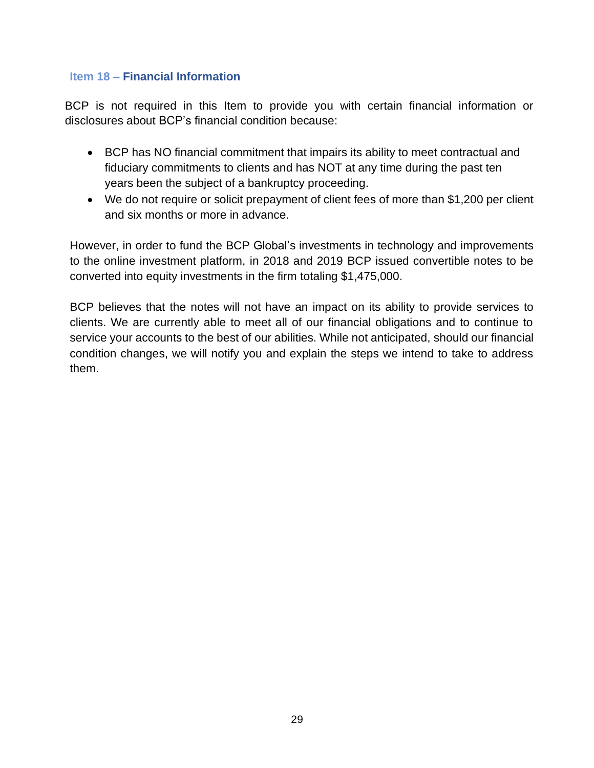#### <span id="page-29-0"></span>**Item 18 – Financial Information**

BCP is not required in this Item to provide you with certain financial information or disclosures about BCP's financial condition because:

- BCP has NO financial commitment that impairs its ability to meet contractual and fiduciary commitments to clients and has NOT at any time during the past ten years been the subject of a bankruptcy proceeding.
- We do not require or solicit prepayment of client fees of more than \$1,200 per client and six months or more in advance.

However, in order to fund the BCP Global's investments in technology and improvements to the online investment platform, in 2018 and 2019 BCP issued convertible notes to be converted into equity investments in the firm totaling \$1,475,000.

BCP believes that the notes will not have an impact on its ability to provide services to clients. We are currently able to meet all of our financial obligations and to continue to service your accounts to the best of our abilities. While not anticipated, should our financial condition changes, we will notify you and explain the steps we intend to take to address them.